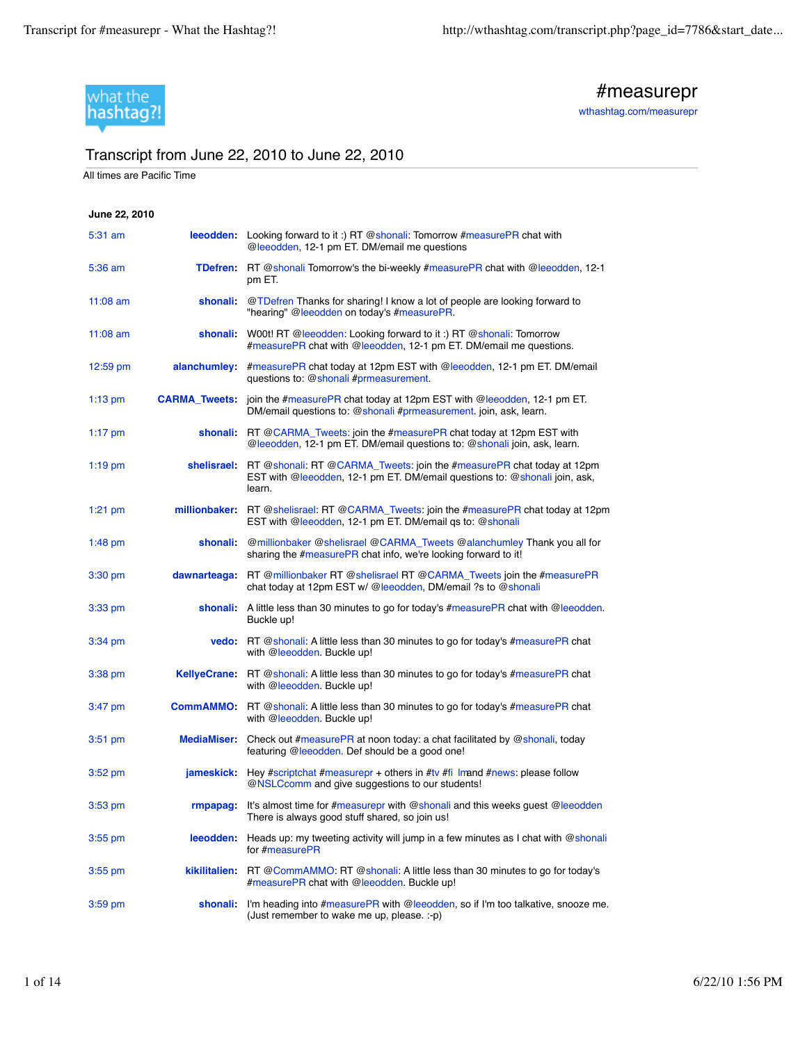

#measurepr

wthashtag.com/measurepr

## Transcript from June 22, 2010 to June 22, 2010

All times are Pacific Time

## **June 22, 2010** 5:31 am **leeodden:** Looking forward to it :) RT @shonali: Tomorrow #measurePR chat with @leeodden, 12-1 pm ET. DM/email me questions 5:36 am **TDefren:** RT @shonali Tomorrow's the bi-weekly #measurePR chat with @leeodden, 12-1 pm ET. 11:08 am **shonali:** @TDefren Thanks for sharing! I know a lot of people are looking forward to "hearing" @leeodden on today's #measurePR. 11:08 am **shonali:** W00t! RT @leeodden: Looking forward to it :) RT @shonali: Tomorrow #measurePR chat with @leeodden, 12-1 pm ET. DM/email me questions. 12:59 pm **alanchumley:** #measurePR chat today at 12pm EST with @leeodden, 12-1 pm ET. DM/email questions to: @shonali #prmeasurement. 1:13 pm **CARMA\_Tweets:** join the #measurePR chat today at 12pm EST with @leeodden, 12-1 pm ET. DM/email questions to: @shonali #prmeasurement. join, ask, learn. 1:17 pm **shonali:** RT @CARMA\_Tweets: join the #measurePR chat today at 12pm EST with @leeodden, 12-1 pm ET. DM/email questions to: @shonali join, ask, learn. 1:19 pm **shelisrael:** RT @shonali: RT @CARMA\_Tweets: join the #measurePR chat today at 12pm EST with @leeodden, 12-1 pm ET. DM/email questions to: @shonali join, ask, learn. 1:21 pm **millionbaker:** RT @shelisrael: RT @CARMA\_Tweets: join the #measurePR chat today at 12pm EST with @leeodden, 12-1 pm ET. DM/email qs to: @shonali 1:48 pm **shonali:** @millionbaker @shelisrael @CARMA\_Tweets @alanchumley Thank you all for sharing the #measurePR chat info, we're looking forward to it! 3:30 pm **dawnarteaga:** RT @millionbaker RT @shelisrael RT @CARMA\_Tweets join the #measurePR chat today at 12pm EST w/ @leeodden, DM/email ?s to @shonali 3:33 pm **shonali:** A little less than 30 minutes to go for today's #measurePR chat with @leeodden. Buckle up! 3:34 pm **vedo:** RT @shonali: A little less than 30 minutes to go for today's #measurePR chat with @leeodden. Buckle up! 3:38 pm **KellyeCrane:** RT @shonali: A little less than 30 minutes to go for today's #measurePR chat with @leeodden. Buckle up! 3:47 pm **CommAMMO:** RT @shonali: A little less than 30 minutes to go for today's #measurePR chat with @leeodden. Buckle up! 3:51 pm **MediaMiser:** Check out #measurePR at noon today: a chat facilitated by @shonali, today featuring @leeodden. Def should be a good one! 3:52 pm **jameskick:** Hey #scriptchat #measurepr + others in #tv #fi lmand #news: please follow @NSLCcomm and give suggestions to our students! 3:53 pm **rmpapag:** It's almost time for #measurepr with @shonali and this weeks guest @leeodden There is always good stuff shared, so join us! 3:55 pm **leeodden:** Heads up: my tweeting activity will jump in a few minutes as I chat with @shonali for #measurePR 3:55 pm **kikilitalien:** RT @CommAMMO: RT @shonali: A little less than 30 minutes to go for today's #measurePR chat with @leeodden. Buckle up! 3:59 pm **shonali:** I'm heading into #measurePR with @leeodden, so if I'm too talkative, snooze me. (Just remember to wake me up, please. :-p)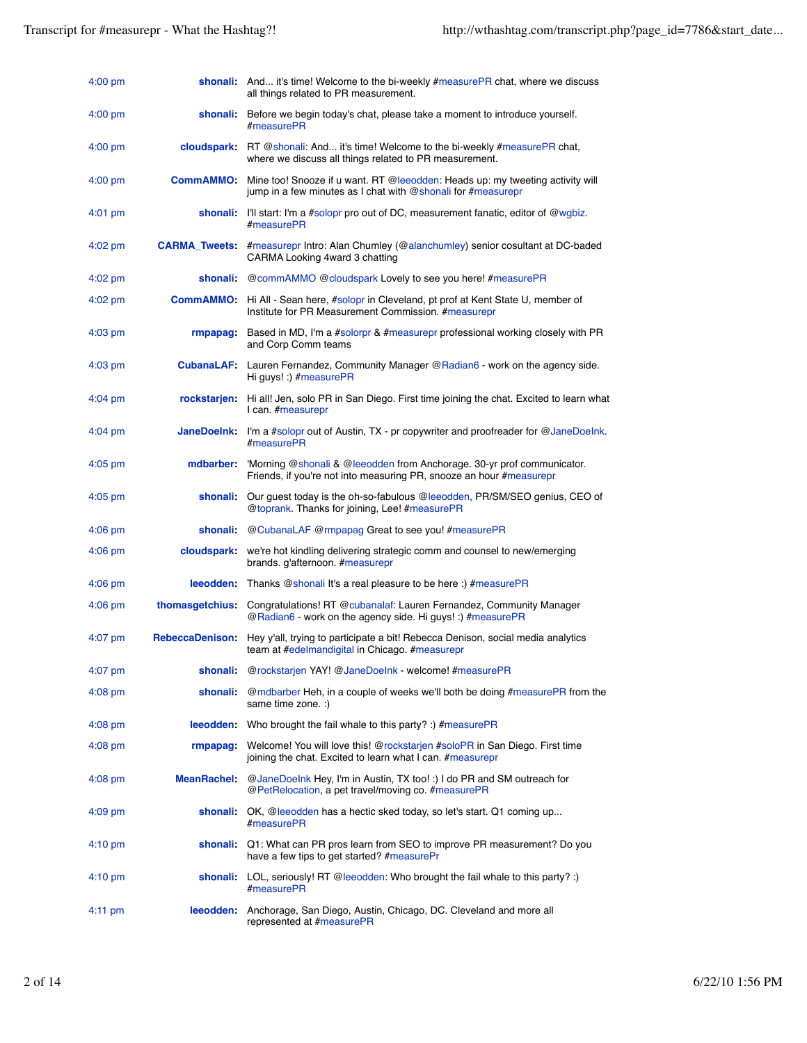| 4:00 pm           |                        | shonali: And it's time! Welcome to the bi-weekly #measurePR chat, where we discuss<br>all things related to PR measurement.                                    |
|-------------------|------------------------|----------------------------------------------------------------------------------------------------------------------------------------------------------------|
| $4:00$ pm         | shonali:               | Before we begin today's chat, please take a moment to introduce yourself.<br>#measurePR                                                                        |
| $4:00$ pm         |                        | cloudspark: RT @shonali: And it's time! Welcome to the bi-weekly #measurePR chat,<br>where we discuss all things related to PR measurement.                    |
| $4:00$ pm         |                        | <b>CommAMMO:</b> Mine too! Snooze if u want. RT @leeodden: Heads up: my tweeting activity will<br>jump in a few minutes as I chat with @shonali for #measurepr |
| $4:01$ pm         |                        | shonali: I'll start: I'm a #solopr pro out of DC, measurement fanatic, editor of @wqbiz.<br>#measurePR                                                         |
| $4:02$ pm         |                        | <b>CARMA_Tweets:</b> #measurepr Intro: Alan Chumley (@alanchumley) senior cosultant at DC-baded<br>CARMA Looking 4ward 3 chatting                              |
| $4:02$ pm         | shonali:               | @commAMMO @cloudspark Lovely to see you here! #measurePR                                                                                                       |
| $4:02$ pm         |                        | <b>CommAMMO:</b> Hi All - Sean here, #solopr in Cleveland, pt prof at Kent State U, member of<br>Institute for PR Measurement Commission. #measurepr           |
| $4:03$ pm         | rmpapag:               | Based in MD, I'm a #solorpr & #measurepr professional working closely with PR<br>and Corp Comm teams                                                           |
| $4:03$ pm         |                        | CubanaLAF: Lauren Fernandez, Community Manager @Radian6 - work on the agency side.<br>Hi quys! :) #measurePR                                                   |
| $4:04$ pm         | rockstarjen:           | Hi all! Jen, solo PR in San Diego. First time joining the chat. Excited to learn what<br>I can. #measurepr                                                     |
| $4:04$ pm         | <b>JaneDoelnk:</b>     | I'm a #solopr out of Austin, TX - pr copywriter and proofreader for @JaneDoelnk.<br>#measurePR                                                                 |
| $4:05$ pm         | mdbarber:              | 'Morning @shonali & @leeodden from Anchorage. 30-yr prof communicator.<br>Friends, if you're not into measuring PR, snooze an hour #measurepr                  |
| $4:05$ pm         | shonali:               | Our guest today is the oh-so-fabulous @leeodden, PR/SM/SEO genius, CEO of<br>@toprank. Thanks for joining, Lee! #measurePR                                     |
| $4:06$ pm         | shonali:               | @CubanaLAF @rmpapag Great to see you! #measurePR                                                                                                               |
| $4:06$ pm         |                        | cloudspark: we're hot kindling delivering strategic comm and counsel to new/emerging<br>brands. g'afternoon. #measurepr                                        |
| $4:06$ pm         |                        | leeodden: Thanks @shonali It's a real pleasure to be here :) #measurePR                                                                                        |
| $4:06$ pm         | thomasgetchius:        | Congratulations! RT @cubanalaf: Lauren Fernandez, Community Manager<br>@Radian6 - work on the agency side. Hi guys! :) #measurePR                              |
| $4:07$ pm         | <b>RebeccaDenison:</b> | Hey y'all, trying to participate a bit! Rebecca Denison, social media analytics<br>team at #edelmandigital in Chicago. #measurepr                              |
| $4:07$ pm         |                        | shonali: @rockstarjen YAY! @JaneDoelnk - welcome! #measurePR                                                                                                   |
| $4:08$ pm         | shonali:               | @mdbarber Heh, in a couple of weeks we'll both be doing #measurePR from the<br>same time zone. :)                                                              |
| $4:08$ pm         |                        | <b>leeodden:</b> Who brought the fail whale to this party? :) $#$ measure PR                                                                                   |
| $4:08$ pm         | rmpapaq:               | Welcome! You will love this! @rockstarjen #soloPR in San Diego. First time<br>joining the chat. Excited to learn what I can. #measurepr                        |
| $4:08$ pm         | <b>MeanRachel:</b>     | @JaneDoelnk Hey, I'm in Austin, TX too! :) I do PR and SM outreach for<br>@PetRelocation, a pet travel/moving co. #measurePR                                   |
| $4:09$ pm         |                        | <b>shonali:</b> OK, @leeodden has a hectic sked today, so let's start. Q1 coming up<br>#measurePR                                                              |
| $4:10 \text{ pm}$ |                        | shonali: Q1: What can PR pros learn from SEO to improve PR measurement? Do you<br>have a few tips to get started? #measurePr                                   |
| $4:10 \text{ pm}$ |                        | <b>shonali:</b> LOL, seriously! RT @leeodden: Who brought the fail whale to this party? :)<br>#measurePR                                                       |
| 4:11 pm           |                        | leeodden: Anchorage, San Diego, Austin, Chicago, DC. Cleveland and more all<br>represented at #measurePR                                                       |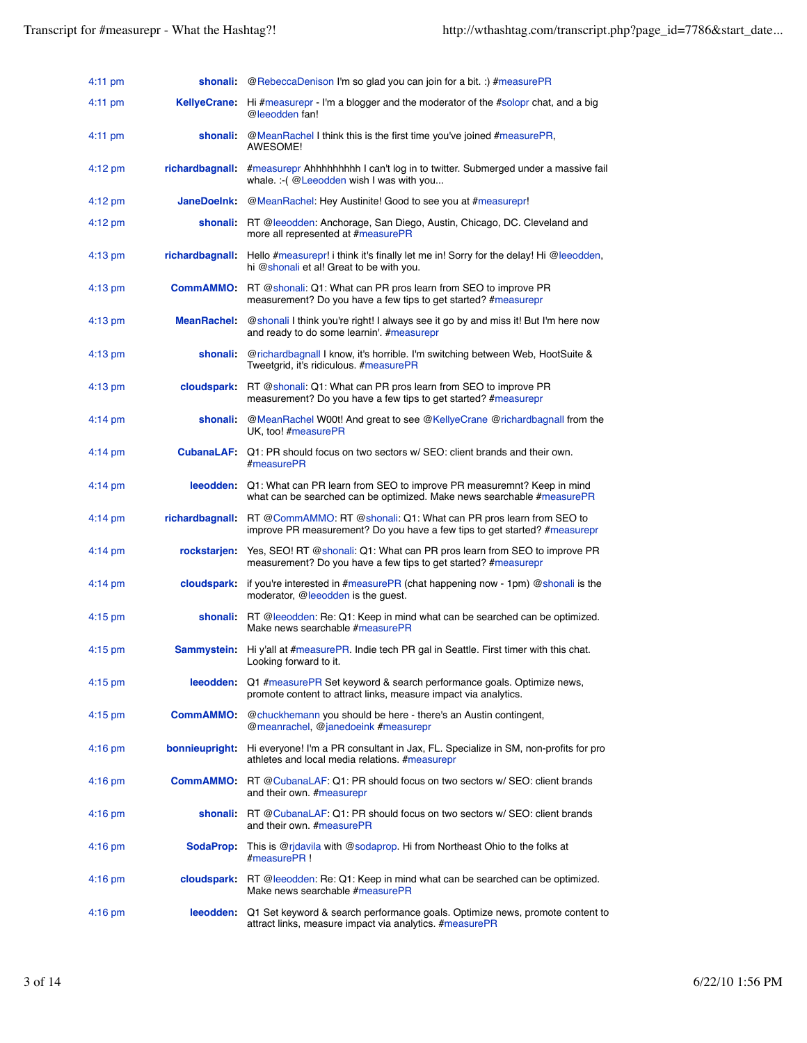| $4:11 \text{ pm}$ |                       | <b>shonali:</b> @RebeccaDenison I'm so glad you can join for a bit. :) #measurePR                                                                                     |
|-------------------|-----------------------|-----------------------------------------------------------------------------------------------------------------------------------------------------------------------|
| $4:11 \text{ pm}$ |                       | <b>KellyeCrane:</b> Hi #measurepr - I'm a blogger and the moderator of the #solopr chat, and a big<br>@leeodden fan!                                                  |
| $4:11 \text{ pm}$ | shonali:              | @MeanRachel I think this is the first time you've joined #measurePR,<br>AWESOME!                                                                                      |
| $4:12 \text{ pm}$ | <b>richardbagnall</b> | #measurepr Ahhhhhhhhh I can't log in to twitter. Submerged under a massive fail<br>whale. :- (@Leeodden wish I was with you                                           |
| $4:12 \text{ pm}$ | <b>JaneDoeInk:</b>    | @MeanRachel: Hey Austinite! Good to see you at #measurepr!                                                                                                            |
| 4:12 pm           |                       | shonali: RT @leeodden: Anchorage, San Diego, Austin, Chicago, DC. Cleveland and<br>more all represented at #measurePR                                                 |
| $4:13$ pm         |                       | richardbagnall: Hello #measurepr! i think it's finally let me in! Sorry for the delay! Hi @leeodden,<br>hi @shonali et al! Great to be with you.                      |
| $4:13$ pm         | <b>CommAMMO:</b>      | RT @shonali: Q1: What can PR pros learn from SEO to improve PR<br>measurement? Do you have a few tips to get started? #measurepr                                      |
| $4:13$ pm         | MeanRachel:           | @shonali I think you're right! I always see it go by and miss it! But I'm here now<br>and ready to do some learnin'. #measurepr                                       |
| $4:13$ pm         | shonali               | @richardbagnall I know, it's horrible. I'm switching between Web, HootSuite &<br>Tweetgrid, it's ridiculous. #measurePR                                               |
| $4:13$ pm         | cloudspark:           | RT @shonali: Q1: What can PR pros learn from SEO to improve PR<br>measurement? Do you have a few tips to get started? #measurepr                                      |
| $4:14 \text{ pm}$ | shonali:              | @MeanRachel W00t! And great to see @KellyeCrane @richardbagnall from the<br>UK, too! #measurePR                                                                       |
| $4:14 \text{ pm}$ |                       | CubanaLAF: Q1: PR should focus on two sectors w/ SEO: client brands and their own.<br>#measurePR                                                                      |
| $4:14 \text{ pm}$ |                       | leeodden: Q1: What can PR learn from SEO to improve PR measuremnt? Keep in mind<br>what can be searched can be optimized. Make news searchable #measurePR             |
| $4:14 \text{ pm}$ |                       | <b>richardbagnall:</b> RT @CommAMMO: RT @shonali: Q1: What can PR pros learn from SEO to<br>improve PR measurement? Do you have a few tips to get started? #measurepr |
| 4:14 pm           | <b>rockstarjen</b> :  | Yes, SEO! RT @shonali: Q1: What can PR pros learn from SEO to improve PR<br>measurement? Do you have a few tips to get started? #measurepr                            |
| $4:14 \text{ pm}$ | <b>cloudspark</b> :   | if you're interested in #measurePR (chat happening now - 1pm) @shonali is the<br>moderator, @leeodden is the guest.                                                   |
| $4:15$ pm         |                       | <b>shonali:</b> RT @leeodden: Re: Q1: Keep in mind what can be searched can be optimized.<br>Make news searchable #measurePR                                          |
| 4:15 pm           |                       | Sammystein: Hi y'all at #measurePR. Indie tech PR gal in Seattle. First timer with this chat.<br>Looking forward to it.                                               |
| $4:15$ pm         |                       | <b>leeodden:</b> Q1 #measurePR Set keyword & search performance goals. Optimize news,<br>promote content to attract links, measure impact via analytics.              |
| $4:15 \text{ pm}$ | CommAMMO:             | @chuckhemann you should be here - there's an Austin contingent,<br>@meanrachel, @janedoeink #measurepr                                                                |
| $4:16$ pm         |                       | bonnieupright: Hi everyone! I'm a PR consultant in Jax, FL. Specialize in SM, non-profits for pro<br>athletes and local media relations. #measurepr                   |
| $4:16$ pm         |                       | <b>CommAMMO:</b> RT @CubanaLAF: Q1: PR should focus on two sectors w/ SEO: client brands<br>and their own. #measurepr                                                 |
| 4:16 pm           |                       | <b>shonali:</b> RT @ CubanaLAF: Q1: PR should focus on two sectors w/ SEO: client brands<br>and their own. #measurePR                                                 |
| 4:16 pm           |                       | SodaProp: This is @rjdavila with @sodaprop. Hi from Northeast Ohio to the folks at<br>#measurePR!                                                                     |
| 4:16 pm           |                       | cloudspark: RT @leeodden: Re: Q1: Keep in mind what can be searched can be optimized.<br>Make news searchable #measurePR                                              |
| $4:16$ pm         | leeodden:             | Q1 Set keyword & search performance goals. Optimize news, promote content to<br>attract links, measure impact via analytics. #measurePR                               |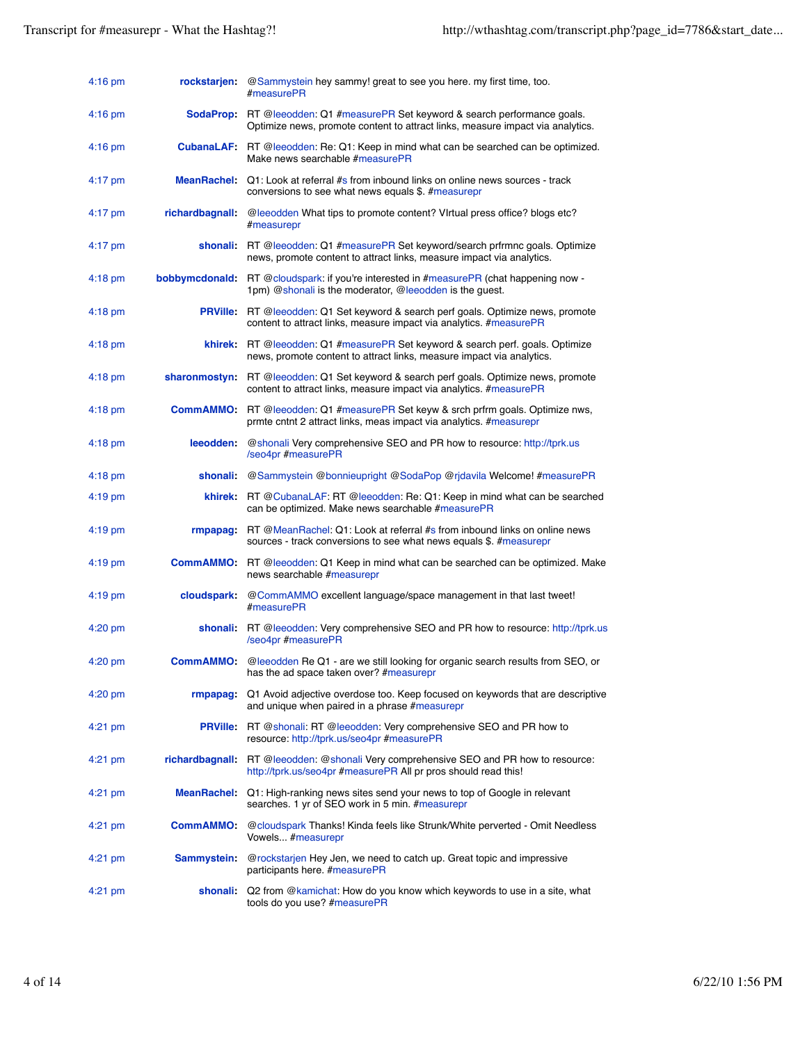| $4:16$ pm         | rockstarjen:       | @Sammystein hey sammy! great to see you here. my first time, too.<br>#measurePR                                                                                        |
|-------------------|--------------------|------------------------------------------------------------------------------------------------------------------------------------------------------------------------|
| $4:16$ pm         |                    | <b>SodaProp:</b> RT @leeodden: Q1 #measurePR Set keyword & search performance goals.<br>Optimize news, promote content to attract links, measure impact via analytics. |
| $4:16$ pm         |                    | <b>CubanaLAF:</b> RT @leeodden: Re: Q1: Keep in mind what can be searched can be optimized.<br>Make news searchable #measurePR                                         |
| $4:17$ pm         |                    | <b>MeanRachel:</b> Q1: Look at referral #s from inbound links on online news sources - track<br>conversions to see what news equals \$. #measurepr                     |
| $4:17$ pm         | richardbagnall:    | @leeodden What tips to promote content? Virtual press office? blogs etc?<br>#measurepr                                                                                 |
| $4:17 \text{ pm}$ |                    | shonali: RT @leeodden: Q1 #measurePR Set keyword/search prfrmnc goals. Optimize<br>news, promote content to attract links, measure impact via analytics.               |
| $4:18$ pm         |                    | <b>bobbymcdonald:</b> RT @cloudspark: if you're interested in #measurePR (chat happening now -<br>1pm) @shonali is the moderator, @leeodden is the guest.              |
| $4:18$ pm         |                    | <b>PRVille:</b> RT @leeodden: Q1 Set keyword & search perf goals. Optimize news, promote<br>content to attract links, measure impact via analytics. #measurePR         |
| $4:18 \text{ pm}$ |                    | khirek: RT @leeodden: Q1 #measurePR Set keyword & search perf. goals. Optimize<br>news, promote content to attract links, measure impact via analytics.                |
| $4:18$ pm         |                    | sharonmostyn: RT @leeodden: Q1 Set keyword & search perf goals. Optimize news, promote<br>content to attract links, measure impact via analytics. #measurePR           |
| $4:18$ pm         |                    | <b>CommAMMO:</b> RT @leeodden: Q1 #measurePR Set keyw & srch prfrm goals. Optimize nws,<br>prmte cntnt 2 attract links, meas impact via analytics. #measurepr          |
| $4:18$ pm         | leeodden:          | @shonali Very comprehensive SEO and PR how to resource: http://tprk.us<br>/seo4pr #measurePR                                                                           |
| $4:18 \text{ pm}$ | shonali:           | @Sammystein @bonnieupright @SodaPop @rjdavila Welcome! #measurePR                                                                                                      |
| $4:19$ pm         |                    | <b>khirek:</b> RT @ CubanaLAF: RT @ leeodden: Re: Q1: Keep in mind what can be searched<br>can be optimized. Make news searchable #measurePR                           |
| $4:19$ pm         |                    | rmpapag: RT @MeanRachel: Q1: Look at referral #s from inbound links on online news<br>sources - track conversions to see what news equals \$. #measurepr               |
| $4:19$ pm         |                    | <b>CommAMMO:</b> RT @leeodden: Q1 Keep in mind what can be searched can be optimized. Make<br>news searchable #measurepr                                               |
| 4:19 pm           | cloudspark:        | @CommAMMO excellent language/space management in that last tweet!<br>#measurePR                                                                                        |
| $4:20$ pm         |                    | shonali: RT @leeodden: Very comprehensive SEO and PR how to resource: http://tprk.us<br>/seo4pr #measurePR                                                             |
| 4:20 pm           |                    | <b>CommAMMO:</b> @leeodden Re Q1 - are we still looking for organic search results from SEO, or<br>has the ad space taken over? #measurepr                             |
| $4:20$ pm         | <b>rmpapag</b>     | Q1 Avoid adjective overdose too. Keep focused on keywords that are descriptive<br>and unique when paired in a phrase #measurepr                                        |
| $4:21$ pm         |                    | <b>PRVille:</b> RT @shonali: RT @leeodden: Very comprehensive SEO and PR how to<br>resource: http://tprk.us/seo4pr #measurePR                                          |
| $4:21$ pm         |                    | richardbagnall: RT @leeodden: @shonali Very comprehensive SEO and PR how to resource:<br>http://tprk.us/seo4pr #measurePR All pr pros should read this!                |
| $4:21$ pm         | <b>MeanRachel:</b> | Q1: High-ranking news sites send your news to top of Google in relevant<br>searches. 1 yr of SEO work in 5 min. #measurepr                                             |
| $4:21$ pm         | <b>CommAMMO:</b>   | @cloudspark Thanks! Kinda feels like Strunk/White perverted - Omit Needless<br>Vowels #measurepr                                                                       |
| $4:21$ pm         | Sammystein:        | @rockstarjen Hey Jen, we need to catch up. Great topic and impressive<br>participants here. #measurePR                                                                 |
| 4:21 pm           | shonali:           | Q2 from @kamichat: How do you know which keywords to use in a site, what<br>tools do you use? #measurePR                                                               |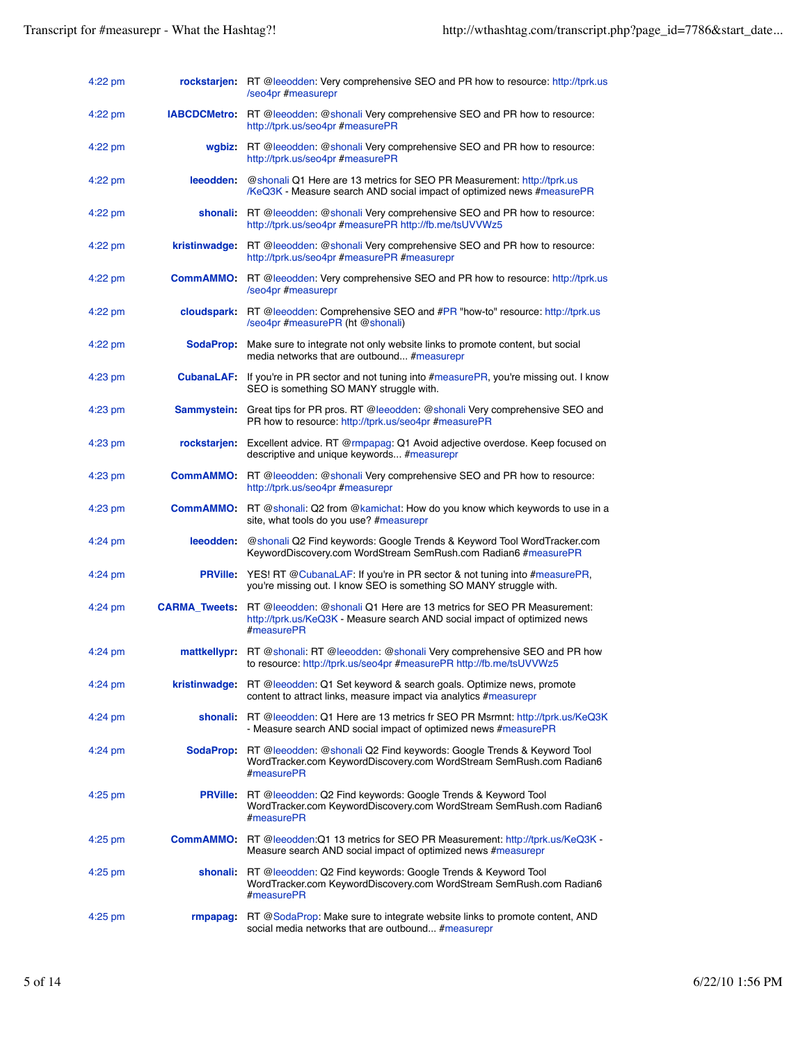| 4:22 pm   |                 | rockstarjen: RT @leeodden: Very comprehensive SEO and PR how to resource: http://tprk.us<br>/seo4pr #measurepr                                                                        |
|-----------|-----------------|---------------------------------------------------------------------------------------------------------------------------------------------------------------------------------------|
| $4:22$ pm |                 | <b>IABCDCMetro:</b> RT @leeodden: @shonali Very comprehensive SEO and PR how to resource:<br>http://tprk.us/seo4pr #measurePR                                                         |
| 4:22 pm   |                 | wgbiz: RT @leeodden: @shonali Very comprehensive SEO and PR how to resource:<br>http://tprk.us/seo4pr #measurePR                                                                      |
| $4:22$ pm | leeodden:       | @shonali Q1 Here are 13 metrics for SEO PR Measurement: http://tprk.us<br>/KeQ3K - Measure search AND social impact of optimized news #measurePR                                      |
| $4:22$ pm |                 | shonali: RT @leeodden: @shonali Very comprehensive SEO and PR how to resource:<br>http://tprk.us/seo4pr #measurePR http://fb.me/tsUVVWz5                                              |
| 4:22 pm   |                 | kristinwadge: RT @leeodden: @shonali Very comprehensive SEO and PR how to resource:<br>http://tprk.us/seo4pr #measurePR #measurepr                                                    |
| 4:22 pm   |                 | <b>CommAMMO:</b> RT @leeodden: Very comprehensive SEO and PR how to resource: http://tprk.us<br>/seo4pr #measurepr                                                                    |
| $4:22$ pm |                 | cloudspark: RT @leeodden: Comprehensive SEO and #PR "how-to" resource: http://tprk.us<br>/seo4pr #measurePR (ht @shonali)                                                             |
| $4:22$ pm |                 | SodaProp: Make sure to integrate not only website links to promote content, but social<br>media networks that are outbound #measurepr                                                 |
| $4:23$ pm |                 | CubanaLAF: If you're in PR sector and not tuning into #measurePR, you're missing out. I know<br>SEO is something SO MANY struggle with.                                               |
| $4:23$ pm |                 | <b>Sammystein:</b> Great tips for PR pros. RT @leeodden: @shonali Very comprehensive SEO and<br>PR how to resource: http://tprk.us/seo4pr #measurePR                                  |
| 4:23 pm   |                 | rockstarjen: Excellent advice. RT @rmpapag: Q1 Avoid adjective overdose. Keep focused on<br>descriptive and unique keywords #measurepr                                                |
| $4:23$ pm |                 | <b>CommAMMO:</b> RT @leeodden: @shonali Very comprehensive SEO and PR how to resource:<br>http://tprk.us/seo4pr #measurepr                                                            |
| 4:23 pm   |                 | <b>CommAMMO:</b> RT @shonali: Q2 from @kamichat: How do you know which keywords to use in a<br>site, what tools do you use? #measurepr                                                |
| $4:24$ pm | leeodden:       | @shonali Q2 Find keywords: Google Trends & Keyword Tool WordTracker.com<br>KeywordDiscovery.com WordStream SemRush.com Radian6 #measurePR                                             |
| $4:24$ pm | <b>PRVille:</b> | YES! RT @CubanaLAF: If you're in PR sector & not tuning into #measurePR,<br>you're missing out. I know SEO is something SO MANY struggle with.                                        |
| $4:24$ pm |                 | <b>CARMA_Tweets:</b> RT @leeodden: @shonali Q1 Here are 13 metrics for SEO PR Measurement:<br>http://tprk.us/KeQ3K - Measure search AND social impact of optimized news<br>#measurePR |
| $4:24$ pm |                 | mattkellypr: RT @shonali: RT @leeodden: @shonali Very comprehensive SEO and PR how<br>to resource: http://tprk.us/seo4pr #measurePR http://fb.me/tsUVVWz5                             |
| $4:24$ pm |                 | <b>kristinwadge:</b> RT @leeodden: Q1 Set keyword & search goals. Optimize news, promote<br>content to attract links, measure impact via analytics #measurepr                         |
| $4:24$ pm |                 | shonali: RT @leeodden: Q1 Here are 13 metrics fr SEO PR Msrmnt: http://tprk.us/KeQ3K<br>- Measure search AND social impact of optimized news #measurePR                               |
| 4:24 pm   |                 | <b>SodaProp:</b> RT @leeodden: @shonali Q2 Find keywords: Google Trends & Keyword Tool<br>WordTracker.com KeywordDiscovery.com WordStream SemRush.com Radian6<br>#measurePR           |
| 4:25 pm   |                 | <b>PRVille:</b> RT @leeodden: Q2 Find keywords: Google Trends & Keyword Tool<br>WordTracker.com KeywordDiscovery.com WordStream SemRush.com Radian6<br>#measurePR                     |
| $4:25$ pm |                 | <b>CommAMMO:</b> RT @leeodden: Q1 13 metrics for SEO PR Measurement: http://tprk.us/KeQ3K -<br>Measure search AND social impact of optimized news #measurepr                          |
| 4:25 pm   |                 | <b>shonali:</b> RT @leeodden: Q2 Find keywords: Google Trends & Keyword Tool<br>WordTracker.com KeywordDiscovery.com WordStream SemRush.com Radian6<br>#measurePR                     |
| $4:25$ pm |                 | <b>rmpapag:</b> RT @SodaProp: Make sure to integrate website links to promote content, AND<br>social media networks that are outbound #measurepr                                      |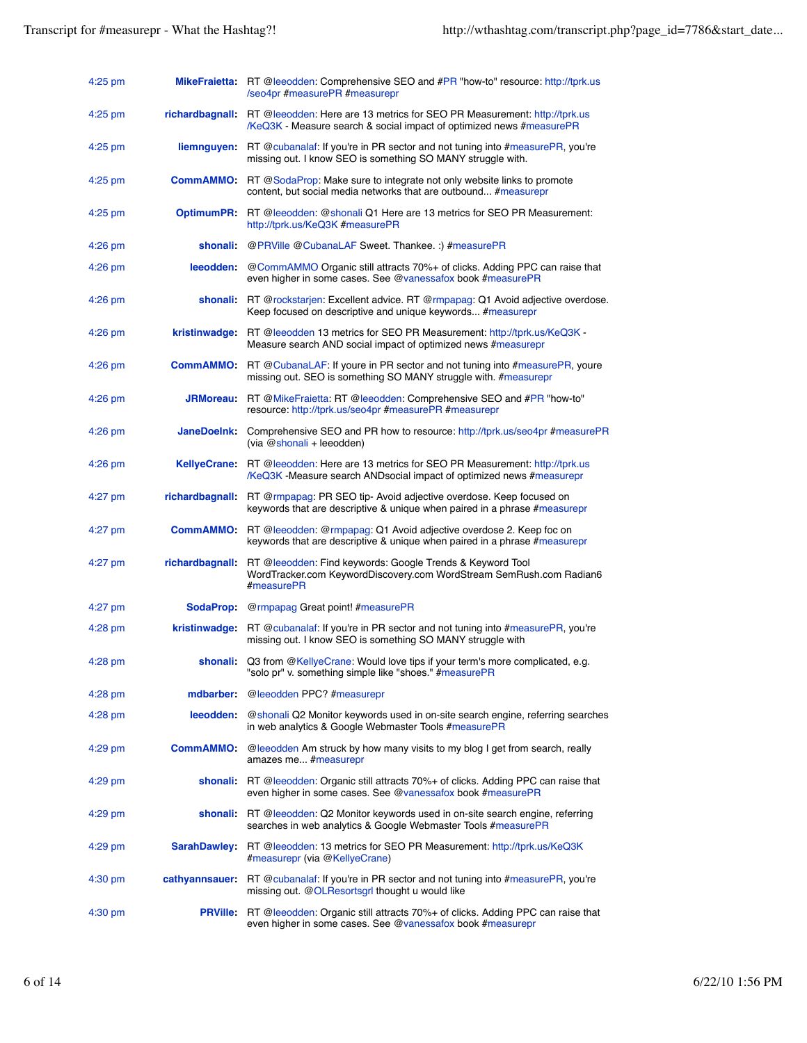| $4:25$ pm |                     | <b>MikeFraietta:</b> RT @leeodden: Comprehensive SEO and #PR "how-to" resource: http://tprk.us<br>/seo4pr #measurePR #measurepr                                       |
|-----------|---------------------|-----------------------------------------------------------------------------------------------------------------------------------------------------------------------|
| $4:25$ pm |                     | richardbagnall: RT @leeodden: Here are 13 metrics for SEO PR Measurement: http://tprk.us<br>/KeQ3K - Measure search & social impact of optimized news #measurePR      |
| $4:25$ pm | liemnguyen:         | RT @cubanalaf: If you're in PR sector and not tuning into #measurePR, you're<br>missing out. I know SEO is something SO MANY struggle with.                           |
| $4:25$ pm |                     | <b>CommAMMO:</b> RT @SodaProp: Make sure to integrate not only website links to promote<br>content, but social media networks that are outbound #measurepr            |
| $4:25$ pm |                     | <b>OptimumPR:</b> RT @leeodden: @shonali Q1 Here are 13 metrics for SEO PR Measurement:<br>http://tprk.us/KeQ3K #measurePR                                            |
| $4:26$ pm | shonali             | @PRVille @CubanaLAF Sweet. Thankee.: ) #measurePR                                                                                                                     |
| $4:26$ pm |                     | leeodden: @CommAMMO Organic still attracts 70%+ of clicks. Adding PPC can raise that<br>even higher in some cases. See @vanessafox book #measurePR                    |
| 4:26 pm   |                     | <b>shonali:</b> RT @rockstarjen: Excellent advice. RT @rmpapag: Q1 Avoid adjective overdose.<br>Keep focused on descriptive and unique keywords #measurepr            |
| $4:26$ pm | kristinwadge:       | RT @leeodden 13 metrics for SEO PR Measurement: http://tprk.us/KeQ3K -<br>Measure search AND social impact of optimized news #measurepr                               |
| $4:26$ pm | <b>CommAMMO:</b>    | RT @CubanaLAF: If youre in PR sector and not tuning into #measurePR, youre<br>missing out. SEO is something SO MANY struggle with. #measurepr                         |
| $4:26$ pm | <b>JRMoreau</b> :   | RT @MikeFraietta: RT @leeodden: Comprehensive SEO and #PR "how-to"<br>resource: http://tprk.us/seo4pr #measurePR #measurepr                                           |
| $4:26$ pm | JaneDoelnk:         | Comprehensive SEO and PR how to resource: http://tprk.us/seo4pr #measurePR<br>(via @shonali + leeodden)                                                               |
| $4:26$ pm |                     | <b>KellyeCrane:</b> RT @leeodden: Here are 13 metrics for SEO PR Measurement: http://tprk.us<br>/KeQ3K -Measure search ANDsocial impact of optimized news #measurepr  |
| $4:27$ pm |                     | richardbagnall: RT @rmpapag: PR SEO tip- Avoid adjective overdose. Keep focused on<br>keywords that are descriptive & unique when paired in a phrase #measurepr       |
| $4:27$ pm |                     | <b>CommAMMO:</b> RT @leeodden: @rmpapag: Q1 Avoid adjective overdose 2. Keep foc on<br>keywords that are descriptive & unique when paired in a phrase #measurepr      |
| $4:27$ pm |                     | <b>richardbagnall:</b> RT @leeodden: Find keywords: Google Trends & Keyword Tool<br>WordTracker.com KeywordDiscovery.com WordStream SemRush.com Radian6<br>#measurePR |
| $4:27$ pm | SodaProp:           | @rmpapag Great point! #measurePR                                                                                                                                      |
| $4:28$ pm |                     | kristinwadge: RT @cubanalaf: If you're in PR sector and not tuning into #measurePR, you're<br>missing out. I know SEO is something SO MANY struggle with              |
| 4:28 pm   |                     | shonali: Q3 from @KellyeCrane: Would love tips if your term's more complicated, e.g.<br>"solo pr" v. something simple like "shoes." #measurePR                        |
| $4:28$ pm | mdbarber:           | @leeodden PPC? #measurepr                                                                                                                                             |
| $4:28$ pm | leeodden:           | @shonali Q2 Monitor keywords used in on-site search engine, referring searches<br>in web analytics & Google Webmaster Tools #measurePR                                |
| $4:29$ pm |                     | <b>CommAMMO:</b> @leeodden Am struck by how many visits to my blog I get from search, really<br>amazes me #measurepr                                                  |
| $4:29$ pm |                     | shonali: RT @leeodden: Organic still attracts 70%+ of clicks. Adding PPC can raise that<br>even higher in some cases. See @vanessafox book #measurePR                 |
| $4:29$ pm |                     | shonali: RT @leeodden: Q2 Monitor keywords used in on-site search engine, referring<br>searches in web analytics & Google Webmaster Tools #measurePR                  |
| $4:29$ pm | <b>SarahDawley:</b> | RT @leeodden: 13 metrics for SEO PR Measurement: http://tprk.us/KeQ3K<br>#measurepr (via @KellyeCrane)                                                                |
| $4:30$ pm | cathyannsauer:      | RT @cubanalaf: If you're in PR sector and not tuning into #measurePR, you're<br>missing out. @OLResortsgrl thought u would like                                       |
| $4:30$ pm | <b>PRVille</b>      | RT @leeodden: Organic still attracts 70%+ of clicks. Adding PPC can raise that<br>even higher in some cases. See @vanessafox book #measurepr                          |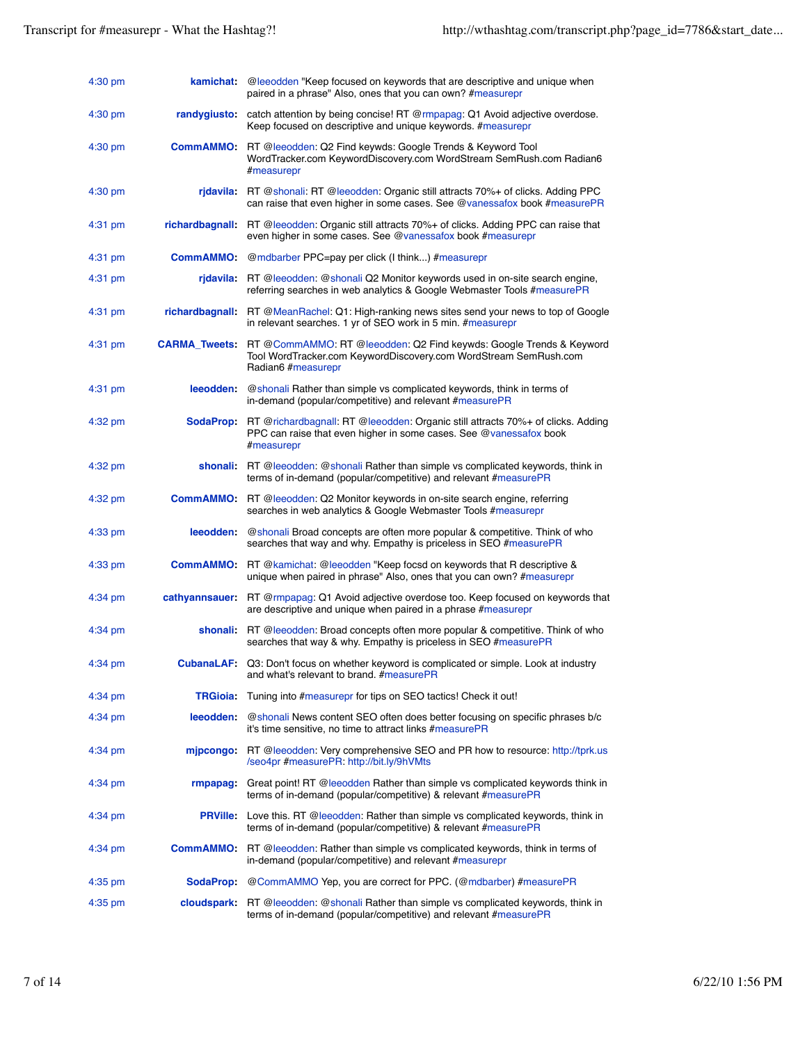| $4:30$ pm         | kamichat          | @leeodden "Keep focused on keywords that are descriptive and unique when<br>paired in a phrase" Also, ones that you can own? #measurepr                                            |
|-------------------|-------------------|------------------------------------------------------------------------------------------------------------------------------------------------------------------------------------|
| $4:30$ pm         | randygiusto:      | catch attention by being concise! RT @rmpapag: Q1 Avoid adjective overdose.<br>Keep focused on descriptive and unique keywords. #measurepr                                         |
| $4:30$ pm         |                   | <b>CommAMMO:</b> RT @leeodden: Q2 Find keywds: Google Trends & Keyword Tool<br>WordTracker.com KeywordDiscovery.com WordStream SemRush.com Radian6<br>#measurepr                   |
| $4:30 \text{ pm}$ |                   | ridavila: RT @shonali: RT @leeodden: Organic still attracts 70%+ of clicks. Adding PPC<br>can raise that even higher in some cases. See @vanessafox book #measurePR                |
| $4:31$ pm         | richardbagnall:   | RT @leeodden: Organic still attracts 70%+ of clicks. Adding PPC can raise that<br>even higher in some cases. See @vanessafox book #measurepr                                       |
| $4:31$ pm         | <b>CommAMMO:</b>  | @mdbarber PPC=pay per click (I think) #measurepr                                                                                                                                   |
| $4:31$ pm         |                   | ridavila: RT @leeodden: @shonali Q2 Monitor keywords used in on-site search engine,<br>referring searches in web analytics & Google Webmaster Tools #measurePR                     |
| $4:31$ pm         | richardbagnall:   | RT @MeanRachel: Q1: High-ranking news sites send your news to top of Google<br>in relevant searches. 1 yr of SEO work in 5 min. #measurepr                                         |
| $4:31$ pm         |                   | <b>CARMA_Tweets:</b> RT @CommAMMO: RT @leeodden: Q2 Find keywds: Google Trends & Keyword<br>Tool WordTracker.com KeywordDiscovery.com WordStream SemRush.com<br>Radian6 #measurepr |
| $4:31$ pm         | leeodden:         | @shonali Rather than simple vs complicated keywords, think in terms of<br>in-demand (popular/competitive) and relevant #measurePR                                                  |
| 4:32 pm           | <b>SodaProp</b>   | RT @richardbagnall: RT @leeodden: Organic still attracts 70%+ of clicks. Adding<br>PPC can raise that even higher in some cases. See @vanessafox book<br>#measurepr                |
| 4:32 pm           |                   | shonali: RT @leeodden: @shonali Rather than simple vs complicated keywords, think in<br>terms of in-demand (popular/competitive) and relevant #measurePR                           |
| 4:32 pm           |                   | <b>CommAMMO:</b> RT @leeodden: Q2 Monitor keywords in on-site search engine, referring<br>searches in web analytics & Google Webmaster Tools #measurepr                            |
| $4:33$ pm         | leeodden:         | @shonali Broad concepts are often more popular & competitive. Think of who<br>searches that way and why. Empathy is priceless in SEO #measurePR                                    |
| $4:33$ pm         |                   | <b>CommAMMO:</b> RT @kamichat: @leeodden "Keep focsd on keywords that R descriptive &<br>unique when paired in phrase" Also, ones that you can own? #measurepr                     |
| $4:34$ pm         |                   | <b>cathyannsauer:</b> RT @rmpapag: Q1 Avoid adjective overdose too. Keep focused on keywords that<br>are descriptive and unique when paired in a phrase #measurepr                 |
| 4:34 pm           | shonali:          | RT @leeodden: Broad concepts often more popular & competitive. Think of who<br>searches that way & why. Empathy is priceless in SEO #measurePR                                     |
| 4:34 pm           | <b>CubanaLAF:</b> | Q3: Don't focus on whether keyword is complicated or simple. Look at industry<br>and what's relevant to brand. #measurePR                                                          |
| $4:34$ pm         | <b>TRGioia</b>    | Tuning into #measurepr for tips on SEO tactics! Check it out!                                                                                                                      |
| $4:34$ pm         |                   | leeodden: @shonali News content SEO often does better focusing on specific phrases b/c<br>it's time sensitive, no time to attract links #measurePR                                 |
| 4:34 pm           |                   | mipcongo: RT @leeodden: Very comprehensive SEO and PR how to resource: http://tprk.us<br>/seo4pr #measurePR: http://bit.ly/9hVMts                                                  |
| 4:34 pm           | <b>rmpapaq</b>    | Great point! RT @leeodden Rather than simple vs complicated keywords think in<br>terms of in-demand (popular/competitive) & relevant #measurePR                                    |
| $4:34$ pm         |                   | <b>PRVille:</b> Love this. RT @leeodden: Rather than simple vs complicated keywords, think in<br>terms of in-demand (popular/competitive) & relevant #measurePR                    |
| 4:34 pm           | <b>CommAMMO:</b>  | RT @leeodden: Rather than simple vs complicated keywords, think in terms of<br>in-demand (popular/competitive) and relevant #measurepr                                             |
| 4:35 pm           |                   | <b>SodaProp:</b> @CommAMMO Yep, you are correct for PPC. (@mdbarber) #measurePR                                                                                                    |
| $4:35$ pm         |                   | <b>cloudspark:</b> RT @leeodden: @shonali Rather than simple vs complicated keywords, think in<br>terms of in-demand (popular/competitive) and relevant #measurePR                 |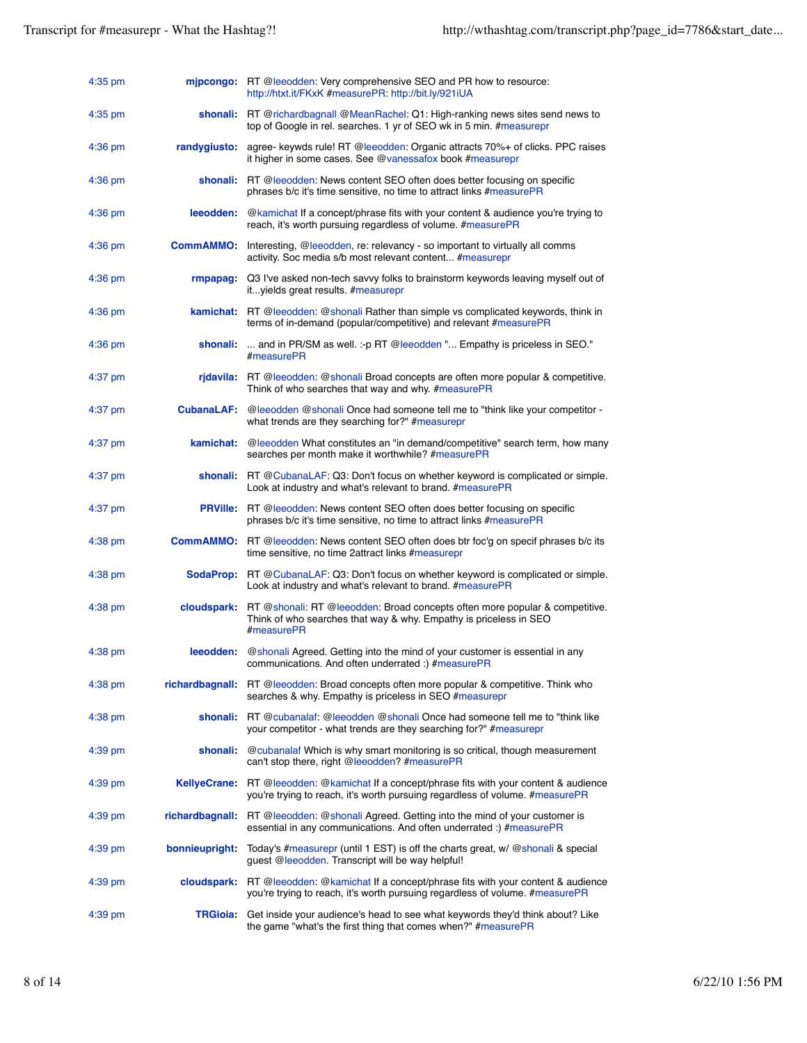| $4:35$ pm |                 | mipcongo: RT @leeodden: Very comprehensive SEO and PR how to resource:<br>http://htxt.it/FKxK #measurePR: http://bit.ly/921iUA                                                    |
|-----------|-----------------|-----------------------------------------------------------------------------------------------------------------------------------------------------------------------------------|
| $4:35$ pm |                 | shonali: RT @richardbagnall @MeanRachel: Q1: High-ranking news sites send news to<br>top of Google in rel. searches. 1 yr of SEO wk in 5 min. #measurepr                          |
| $4:36$ pm | randygiusto:    | agree- keywds rule! RT @leeodden: Organic attracts 70%+ of clicks. PPC raises<br>it higher in some cases. See @vanessafox book #measurepr                                         |
| $4:36$ pm |                 | shonali: RT @leeodden: News content SEO often does better focusing on specific<br>phrases b/c it's time sensitive, no time to attract links #measurePR                            |
| $4:36$ pm | leeodden:       | @kamichat If a concept/phrase fits with your content & audience you're trying to<br>reach, it's worth pursuing regardless of volume. #measurePR                                   |
| $4:36$ pm | <b>CommAMMO</b> | Interesting, @leeodden, re: relevancy - so important to virtually all comms<br>activity. Soc media s/b most relevant content #measurepr                                           |
| $4:36$ pm |                 | rmpapag: Q3 I've asked non-tech savvy folks to brainstorm keywords leaving myself out of<br>it yields great results. #measurepr                                                   |
| $4:36$ pm |                 | <b>kamichat:</b> RT @leeodden: @shonali Rather than simple vs complicated keywords, think in<br>terms of in-demand (popular/competitive) and relevant #measurePR                  |
| $4:36$ pm |                 | shonali:  and in PR/SM as well. :- p RT @leeodden " Empathy is priceless in SEO."<br>#measurePR                                                                                   |
| $4:37$ pm |                 | rjdavila: RT @leeodden: @shonali Broad concepts are often more popular & competitive.<br>Think of who searches that way and why. #measurePR                                       |
| $4:37$ pm |                 | CubanaLAF: @leeodden @shonali Once had someone tell me to "think like your competitor -<br>what trends are they searching for?" #measurepr                                        |
| $4:37$ pm | kamichat        | @leeodden What constitutes an "in demand/competitive" search term, how many<br>searches per month make it worthwhile? #measurePR                                                  |
| $4:37$ pm |                 | shonali: RT @ CubanaLAF: Q3: Don't focus on whether keyword is complicated or simple.<br>Look at industry and what's relevant to brand. #measurePR                                |
| $4:37$ pm |                 | <b>PRVille:</b> RT @leeodden: News content SEO often does better focusing on specific<br>phrases b/c it's time sensitive, no time to attract links #measurePR                     |
| $4:38$ pm |                 | <b>CommAMMO:</b> RT @leeodden: News content SEO often does btr foc'g on specif phrases b/c its<br>time sensitive, no time 2attract links #measurepr                               |
| $4:38$ pm |                 | <b>SodaProp:</b> RT @ CubanaLAF: Q3: Don't focus on whether keyword is complicated or simple.<br>Look at industry and what's relevant to brand. #measurePR                        |
| $4:38$ pm |                 | <b>cloudspark:</b> RT @shonali: RT @leeodden: Broad concepts often more popular & competitive.<br>Think of who searches that way & why. Empathy is priceless in SEO<br>#measurePR |
| $4:38$ pm |                 | <b>leeodden:</b> @shonali Agreed. Getting into the mind of your customer is essential in any<br>communications. And often underrated :) #measurePR                                |
| $4:38$ pm |                 | richardbagnall: RT @leeodden: Broad concepts often more popular & competitive. Think who<br>searches & why. Empathy is priceless in SEO #measurepr                                |
| $4:38$ pm |                 | shonali: RT @cubanalaf: @leeodden @shonali Once had someone tell me to "think like<br>your competitor - what trends are they searching for?" #measurepr                           |
| $4:39$ pm |                 | <b>shonali:</b> @cubanalaf Which is why smart monitoring is so critical, though measurement<br>can't stop there, right @leeodden? #measurePR                                      |
| $4:39$ pm |                 | <b>KellyeCrane:</b> RT @leeodden: @kamichat If a concept/phrase fits with your content & audience<br>you're trying to reach, it's worth pursuing regardless of volume. #measurePR |
| $4:39$ pm |                 | <b>richardbagnall:</b> RT @leeodden: @shonali Agreed. Getting into the mind of your customer is<br>essential in any communications. And often underrated :) #measurePR            |
| $4:39$ pm | bonnieupright:  | Today's #measurepr (until 1 EST) is off the charts great, w/ @shonali & special<br>guest @leeodden. Transcript will be way helpful!                                               |
| $4:39$ pm |                 | <b>cloudspark:</b> RT @leeodden: @kamichat If a concept/phrase fits with your content & audience<br>you're trying to reach, it's worth pursuing regardless of volume. #measurePR  |
| 4:39 pm   |                 | TRGioia: Get inside your audience's head to see what keywords they'd think about? Like<br>the game "what's the first thing that comes when?" #measurePR                           |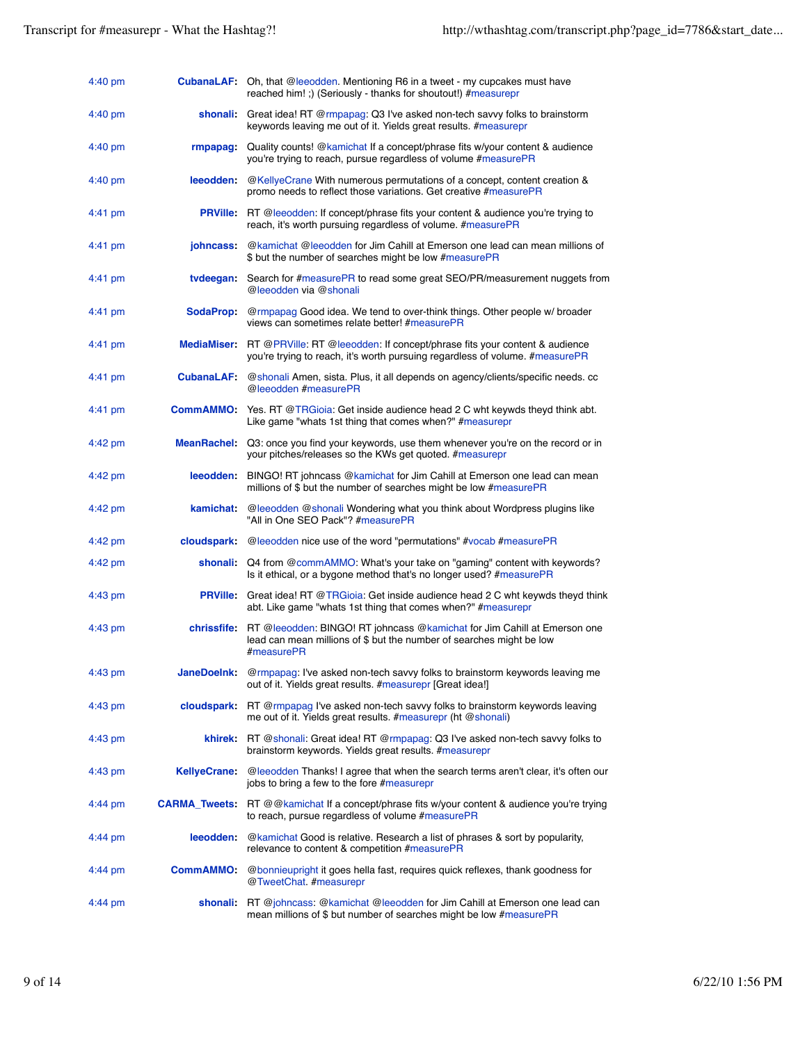| $4:40 \text{ pm}$ |                     | <b>CubanaLAF:</b> Oh, that @leeodden. Mentioning R6 in a tweet - my cupcakes must have<br>reached him!;) (Seriously - thanks for shoutout!) #measurepr                            |
|-------------------|---------------------|-----------------------------------------------------------------------------------------------------------------------------------------------------------------------------------|
| $4:40 \text{ pm}$ | shonali:            | Great idea! RT @rmpapag: Q3 I've asked non-tech savvy folks to brainstorm<br>keywords leaving me out of it. Yields great results. #measurepr                                      |
| $4:40 \text{ pm}$ | rmpapag:            | Quality counts! @kamichat If a concept/phrase fits w/your content & audience<br>you're trying to reach, pursue regardless of volume #measurePR                                    |
| $4:40 \text{ pm}$ | leeodden:           | @KellyeCrane With numerous permutations of a concept, content creation &<br>promo needs to reflect those variations. Get creative #measurePR                                      |
| 4:41 pm           |                     | PRVille: RT @leeodden: If concept/phrase fits your content & audience you're trying to<br>reach, it's worth pursuing regardless of volume. #measurePR                             |
| 4:41 pm           | johncass:           | @kamichat @leeodden for Jim Cahill at Emerson one lead can mean millions of<br>\$ but the number of searches might be low #measurePR                                              |
| $4:41 \text{ pm}$ | tvdeegan:           | Search for #measurePR to read some great SEO/PR/measurement nuggets from<br>@leeodden via @shonali                                                                                |
| 4:41 pm           |                     | SodaProp: @rmpapag Good idea. We tend to over-think things. Other people w/ broader<br>views can sometimes relate better! #measurePR                                              |
| 4:41 pm           |                     | <b>MediaMiser:</b> RT @PRVille: RT @leeodden: If concept/phrase fits your content & audience<br>you're trying to reach, it's worth pursuing regardless of volume. #measurePR      |
| $4:41$ pm         |                     | <b>CubanaLAF:</b> @shonali Amen, sista. Plus, it all depends on agency/clients/specific needs. cc<br>@leeodden #measurePR                                                         |
| 4:41 pm           |                     | <b>CommAMMO:</b> Yes. RT @TRGioia: Get inside audience head 2 C whit keywds theyd think abt.<br>Like game "whats 1st thing that comes when?" #measurepr                           |
| 4:42 pm           |                     | MeanRachel: Q3: once you find your keywords, use them whenever you're on the record or in<br>your pitches/releases so the KWs get quoted. #measurepr                              |
| $4:42 \text{ pm}$ | leeodden:           | BINGO! RT johncass @kamichat for Jim Cahill at Emerson one lead can mean<br>millions of \$ but the number of searches might be low #measurePR                                     |
| 4:42 pm           | <b>kamichat</b>     | @leeodden @shonali Wondering what you think about Wordpress plugins like<br>"All in One SEO Pack"? #measurePR                                                                     |
| $4:42 \text{ pm}$ |                     | cloudspark: @leeodden nice use of the word "permutations" #vocab #measurePR                                                                                                       |
| $4:42$ pm         |                     | shonali: Q4 from @commAMMO: What's your take on "gaming" content with keywords?<br>Is it ethical, or a bygone method that's no longer used? #measurePR                            |
| $4:43$ pm         |                     | <b>PRVille:</b> Great idea! RT @TRGioia: Get inside audience head 2 C wht keywds theyd think<br>abt. Like game "whats 1st thing that comes when?" #measurepr                      |
| 4:43 pm           |                     | <b>chrissfife:</b> RT @leeodden: BINGO! RT johncass @kamichat for Jim Cahill at Emerson one<br>lead can mean millions of \$ but the number of searches might be low<br>#measurePR |
| $4:43$ pm         | <b>JaneDoelnk:</b>  | @rmpapag: I've asked non-tech savvy folks to brainstorm keywords leaving me<br>out of it. Yields great results. #measurepr [Great idea!]                                          |
| 4:43 pm           | cloudspark:         | RT @rmpapag I've asked non-tech savvy folks to brainstorm keywords leaving<br>me out of it. Yields great results. #measurepr (ht @shonali)                                        |
| $4:43$ pm         |                     | khirek: RT @shonali: Great idea! RT @rmpapag: Q3 I've asked non-tech savvy folks to<br>brainstorm keywords. Yields great results. #measurepr                                      |
| $4:43$ pm         | <b>KellyeCrane:</b> | @leeodden Thanks! I agree that when the search terms aren't clear, it's often our<br>jobs to bring a few to the fore #measurepr                                                   |
| 4:44 pm           |                     | <b>CARMA_Tweets:</b> RT @@kamichat If a concept/phrase fits w/your content & audience you're trying<br>to reach, pursue regardless of volume #measurePR                           |
| 4:44 pm           |                     | leeodden: @kamichat Good is relative. Research a list of phrases & sort by popularity,<br>relevance to content & competition #measurePR                                           |
| $4:44$ pm         | <b>CommAMMO:</b>    | @bonnieupright it goes hella fast, requires quick reflexes, thank goodness for<br>@TweetChat #measurepr                                                                           |
| $4:44$ pm         |                     | shonali: RT @johncass: @kamichat @leeodden for Jim Cahill at Emerson one lead can<br>mean millions of \$ but number of searches might be low #measurePR                           |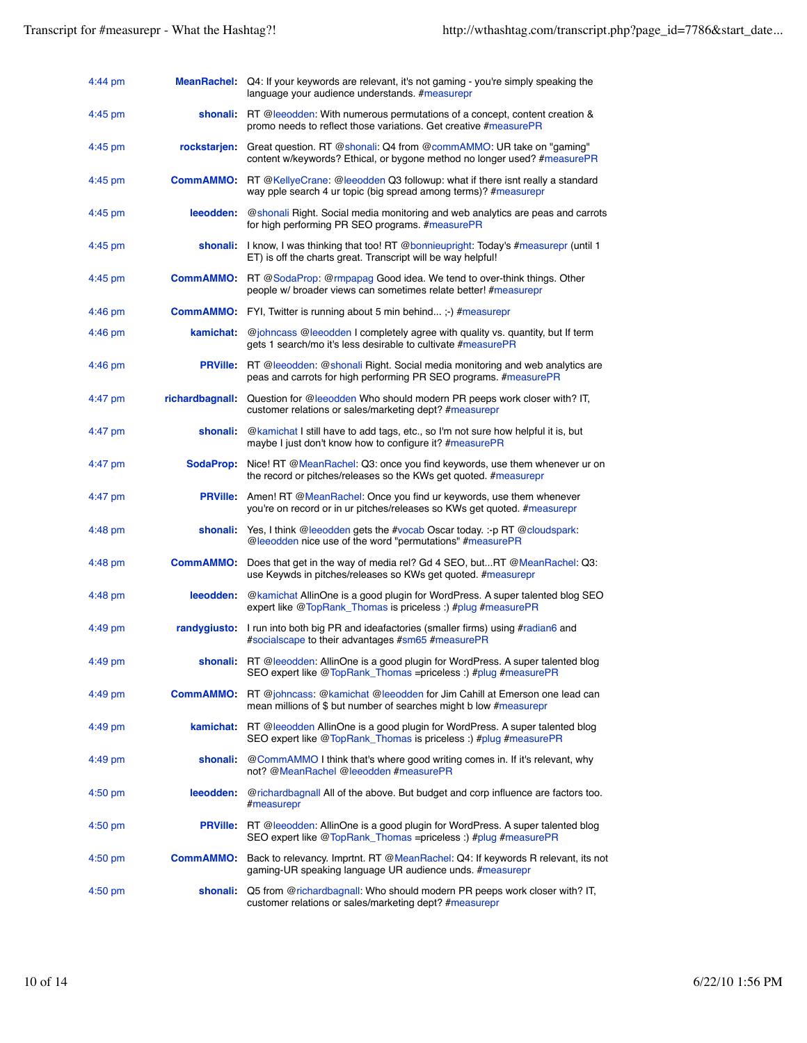| $4:44$ pm         |                    | MeanRachel: Q4: If your keywords are relevant, it's not gaming - you're simply speaking the<br>language your audience understands. #measurepr                    |
|-------------------|--------------------|------------------------------------------------------------------------------------------------------------------------------------------------------------------|
| 4:45 pm           |                    | shonali: RT @leeodden: With numerous permutations of a concept, content creation &<br>promo needs to reflect those variations. Get creative #measurePR           |
| $4:45 \text{ pm}$ | <b>rockstarjen</b> | Great question. RT @shonali: Q4 from @commAMMO: UR take on "gaming"<br>content w/keywords? Ethical, or bygone method no longer used? #measurePR                  |
| $4:45$ pm         |                    | <b>CommAMMO:</b> RT @KellyeCrane: @leeodden Q3 followup: what if there isnt really a standard<br>way pple search 4 ur topic (big spread among terms)? #measurepr |
| $4:45$ pm         | leeodden:          | @shonali Right. Social media monitoring and web analytics are peas and carrots<br>for high performing PR SEO programs. #measurePR                                |
| $4:45$ pm         |                    | shonali: I know, I was thinking that too! RT @bonnieupright: Today's #measurepr (until 1<br>ET) is off the charts great. Transcript will be way helpful!         |
| $4:45$ pm         |                    | CommAMMO: RT @SodaProp: @rmpapag Good idea. We tend to over-think things. Other<br>people w/ broader views can sometimes relate better! #measurepr               |
| $4:46$ pm         |                    | <b>CommAMMO:</b> FYI, Twitter is running about 5 min behind;-) #measurepr                                                                                        |
| $4:46$ pm         | kamichat           | @johncass @leeodden I completely agree with quality vs. quantity, but If term<br>gets 1 search/mo it's less desirable to cultivate #measurePR                    |
| $4:46$ pm         | <b>PRVille:</b>    | RT @leeodden: @shonali Right. Social media monitoring and web analytics are<br>peas and carrots for high performing PR SEO programs. #measurePR                  |
| 4:47 pm           | richardbagnall:    | Question for @leeodden Who should modern PR peeps work closer with? IT,<br>customer relations or sales/marketing dept? #measurepr                                |
| 4:47 pm           | shonali:           | @kamichat I still have to add tags, etc., so I'm not sure how helpful it is, but<br>maybe I just don't know how to configure it? #measurePR                      |
| 4:47 pm           | <b>SodaProp:</b>   | Nice! RT @MeanRachel: Q3: once you find keywords, use them whenever ur on<br>the record or pitches/releases so the KWs get quoted. #measurepr                    |
| 4:47 pm           | <b>PRVille:</b>    | Amen! RT @MeanRachel: Once you find ur keywords, use them whenever<br>you're on record or in ur pitches/releases so KWs get quoted. #measurepr                   |
| $4:48$ pm         |                    | <b>shonali:</b> Yes, I think @leeodden gets the #vocab Oscar today. :-p RT @cloudspark:<br>@leeodden nice use of the word "permutations" #measurePR              |
| 4:48 pm           | <b>CommAMMO:</b>   | Does that get in the way of media rel? Gd 4 SEO, butRT @MeanRachel: Q3:<br>use Keywds in pitches/releases so KWs get quoted. #measurepr                          |
| $4:48 \text{ pm}$ | leeodden:          | @kamichat AllinOne is a good plugin for WordPress. A super talented blog SEO<br>expert like @TopRank_Thomas is priceless :) #plug #measurePR                     |
| 4:49 pm           | randygiusto:       | I run into both big PR and ideafactories (smaller firms) using #radian6 and<br>#socialscape to their advantages #sm65 #measurePR                                 |
| 4:49 pm           |                    | <b>shonali:</b> RT @leeodden: AllinOne is a good plugin for WordPress. A super talented blog<br>SEO expert like @TopRank_Thomas =priceless :) #plug #measurePR   |
| $4:49$ pm         | <b>CommAMMO:</b>   | RT @johncass: @kamichat @leeodden for Jim Cahill at Emerson one lead can<br>mean millions of \$ but number of searches might b low #measurepr                    |
| 4:49 pm           |                    | kamichat: RT @leeodden AllinOne is a good plugin for WordPress. A super talented blog<br>SEO expert like @TopRank_Thomas is priceless :) #plug #measurePR        |
| $4:49$ pm         | shonali:           | @CommAMMO I think that's where good writing comes in. If it's relevant, why<br>not? @MeanRachel @leeodden #measurePR                                             |
| 4:50 pm           |                    | leeodden: @richardbagnall All of the above. But budget and corp influence are factors too.<br>#measurepr                                                         |
| $4:50$ pm         |                    | <b>PRVille:</b> RT @leeodden: AllinOne is a good plugin for WordPress. A super talented blog<br>SEO expert like @TopRank_Thomas =priceless :) #plug #measurePR   |
| 4:50 pm           |                    | CommAMMO: Back to relevancy. Imprtnt. RT @MeanRachel: Q4: If keywords R relevant, its not<br>gaming-UR speaking language UR audience unds. #measurepr            |
| 4:50 pm           | shonali:           | Q5 from @richardbagnall: Who should modern PR peeps work closer with? IT,<br>customer relations or sales/marketing dept? #measurepr                              |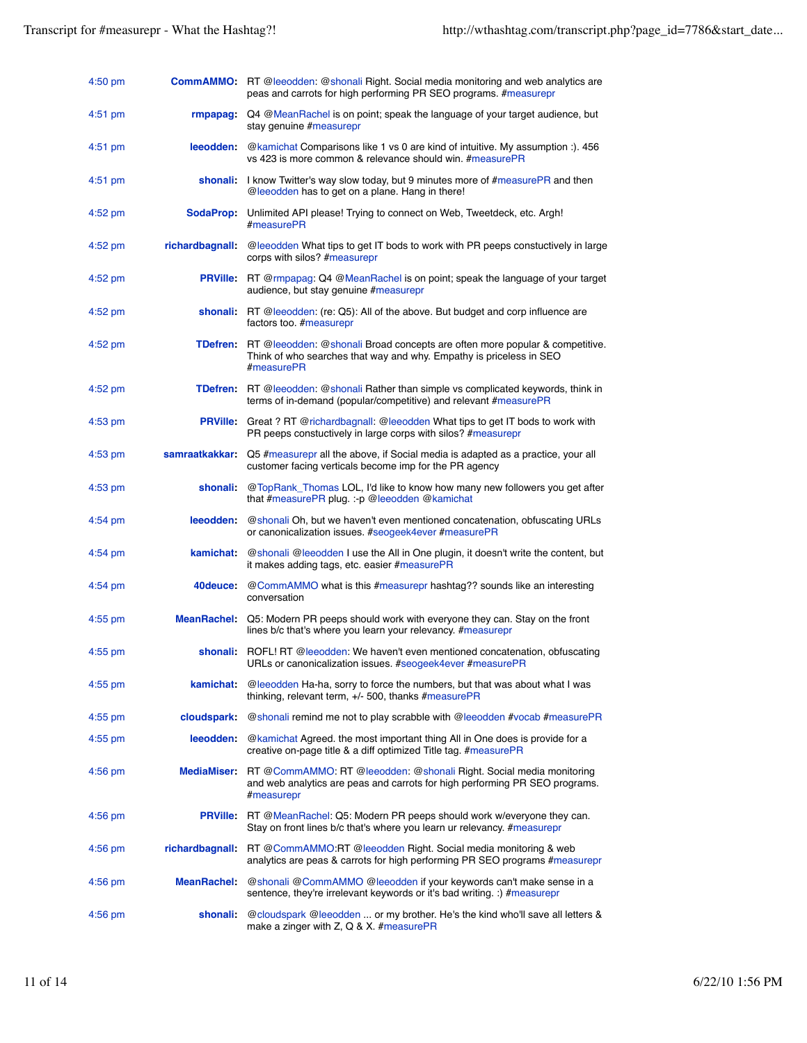| $4:50$ pm         |                    | <b>CommAMMO:</b> RT @leeodden: @shonali Right. Social media monitoring and web analytics are<br>peas and carrots for high performing PR SEO programs. #measurepr                 |
|-------------------|--------------------|----------------------------------------------------------------------------------------------------------------------------------------------------------------------------------|
| $4:51$ pm         |                    | <b>rmpapag:</b> Q4 @MeanRachel is on point; speak the language of your target audience, but<br>stay genuine #measurepr                                                           |
| $4:51$ pm         |                    | <b>leeodden:</b> @kamichat Comparisons like 1 vs 0 are kind of intuitive. My assumption :). 456<br>vs 423 is more common & relevance should win. #measurePR                      |
| $4:51$ pm         |                    | shonali: I know Twitter's way slow today, but 9 minutes more of #measurePR and then<br>@leeodden has to get on a plane. Hang in there!                                           |
| $4:52 \text{ pm}$ | <b>SodaProp:</b>   | Unlimited API please! Trying to connect on Web, Tweetdeck, etc. Argh!<br>#measurePR                                                                                              |
| $4:52$ pm         |                    | richardbagnall: @leeodden What tips to get IT bods to work with PR peeps constuctively in large<br>corps with silos? #measurepr                                                  |
| $4:52$ pm         |                    | <b>PRVille:</b> RT @rmpapag: Q4 @MeanRachel is on point; speak the language of your target<br>audience, but stay genuine #measurepr                                              |
| $4:52 \text{ pm}$ |                    | <b>shonali:</b> RT @leeodden: (re: Q5): All of the above. But budget and corp influence are<br>factors too. #measurepr                                                           |
| $4:52$ pm         |                    | <b>TDefren:</b> RT @leeodden: @shonali Broad concepts are often more popular & competitive.<br>Think of who searches that way and why. Empathy is priceless in SEO<br>#measurePR |
| $4:52$ pm         |                    | <b>TDefren:</b> RT @leeodden: @shonali Rather than simple vs complicated keywords, think in<br>terms of in-demand (popular/competitive) and relevant #measurePR                  |
| $4:53$ pm         |                    | <b>PRVille:</b> Great ? RT @richardbagnall: @leeodden What tips to get IT bods to work with<br>PR peeps constuctively in large corps with silos? #measurepr                      |
| $4:53$ pm         | samraatkakkar:     | Q5 #measurepr all the above, if Social media is adapted as a practice, your all<br>customer facing verticals become imp for the PR agency                                        |
| $4:53$ pm         |                    | shonali: @TopRank_Thomas LOL, I'd like to know how many new followers you get after<br>that #measurePR plug. :- p @leeodden @kamichat                                            |
| $4:54$ pm         |                    | <b>leeodden:</b> @shonali Oh, but we haven't even mentioned concatenation, obfuscating URLs<br>or canonicalization issues. #seogeek4ever #measurePR                              |
| $4:54$ pm         |                    | kamichat: @shonali @leeodden I use the All in One plugin, it doesn't write the content, but<br>it makes adding tags, etc. easier #measurePR                                      |
| $4:54 \text{ pm}$ |                    | 40 deuce: @CommAMMO what is this #measurepr hashtag?? sounds like an interesting<br>conversation                                                                                 |
| $4:55$ pm         |                    | MeanRachel: Q5: Modern PR peeps should work with everyone they can. Stay on the front<br>lines b/c that's where you learn your relevancy. #measurepr                             |
| $4:55$ pm         |                    | shonali: ROFL! RT @leeodden: We haven't even mentioned concatenation, obfuscating<br>URLs or canonicalization issues. #seogeek4ever #measurePR                                   |
| $4:55$ pm         | kamichat:          | @leeodden Ha-ha, sorry to force the numbers, but that was about what I was<br>thinking, relevant term, $+/-$ 500, thanks $#measurePR$                                            |
| $4:55$ pm         | cloudspark:        | @shonali remind me not to play scrabble with @leeodden #vocab #measurePR                                                                                                         |
| $4:55$ pm         | leeodden:          | @kamichat Agreed. the most important thing All in One does is provide for a<br>creative on-page title & a diff optimized Title tag. #measurePR                                   |
| $4:56$ pm         | MediaMiser:        | RT @CommAMMO: RT @leeodden: @shonali Right. Social media monitoring<br>and web analytics are peas and carrots for high performing PR SEO programs.<br>#measurepr                 |
| $4:56$ pm         |                    | PRVille: RT @MeanRachel: Q5: Modern PR peeps should work w/everyone they can.<br>Stay on front lines b/c that's where you learn ur relevancy. #measurepr                         |
| $4:56$ pm         |                    | richardbagnall: RT @CommAMMO:RT @leeodden Right. Social media monitoring & web<br>analytics are peas & carrots for high performing PR SEO programs #measurepr                    |
| $4:56$ pm         | <b>MeanRachel:</b> | @shonali @CommAMMO @leeodden if your keywords can't make sense in a<br>sentence, they're irrelevant keywords or it's bad writing. :) #measurepr                                  |
| $4:56$ pm         | shonali:           | @cloudspark @leeodden  or my brother. He's the kind who'll save all letters &<br>make a zinger with Z, Q & X. #measurePR                                                         |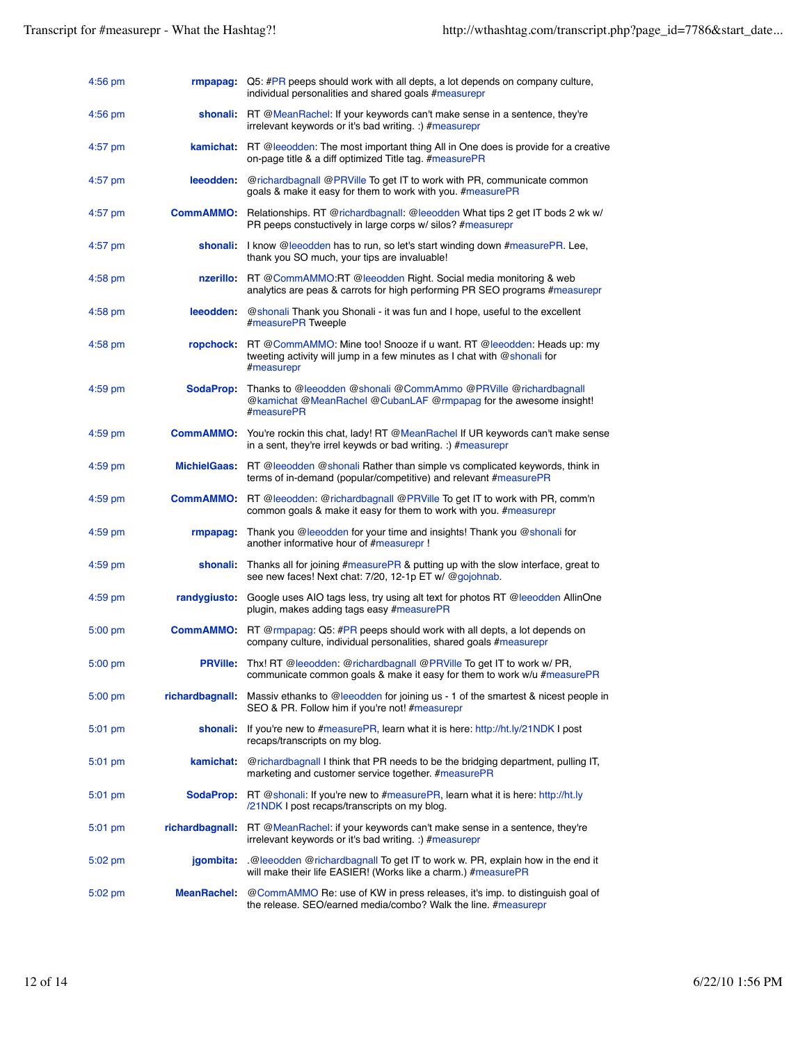| $4:56$ pm |                       | <b>rmpapag:</b> Q5: #PR peeps should work with all depts, a lot depends on company culture,<br>individual personalities and shared goals #measurepr                      |
|-----------|-----------------------|--------------------------------------------------------------------------------------------------------------------------------------------------------------------------|
| $4:56$ pm |                       | shonali: RT @MeanRachel: If your keywords can't make sense in a sentence, they're<br>irrelevant keywords or it's bad writing. :) #measurepr                              |
| $4:57$ pm |                       | <b>kamichat:</b> RT @leeodden: The most important thing All in One does is provide for a creative<br>on-page title & a diff optimized Title tag. #measurePR              |
| $4:57$ pm | <b>leeodden</b>       | @richardbagnall @PRVille To get IT to work with PR, communicate common<br>goals & make it easy for them to work with you. #measurePR                                     |
| $4:57$ pm |                       | <b>CommAMMO:</b> Relationships. RT @richardbagnall: @leeodden What tips 2 get IT bods 2 wk w/<br>PR peeps constuctively in large corps w/silos? #measurepr               |
| $4:57$ pm |                       | shonali: I know @leeodden has to run, so let's start winding down #measurePR. Lee,<br>thank you SO much, your tips are invaluable!                                       |
| $4:58$ pm |                       | nzerillo: RT @CommAMMO:RT @leeodden Right. Social media monitoring & web<br>analytics are peas & carrots for high performing PR SEO programs #measurepr                  |
| $4:58$ pm | leeodden:             | @shonali Thank you Shonali - it was fun and I hope, useful to the excellent<br>#measurePR Tweeple                                                                        |
| $4:58$ pm |                       | ropchock: RT @CommAMMO: Mine too! Snooze if u want. RT @leeodden: Heads up: my<br>tweeting activity will jump in a few minutes as I chat with @shonali for<br>#measurepr |
| $4:59$ pm | SodaProp:             | Thanks to @leeodden @shonali @CommAmmo @PRVille @richardbagnall<br>@kamichat @MeanRachel @CubanLAF @rmpapag for the awesome insight!<br>#measurePR                       |
| $4:59$ pm | <b>CommAMMO:</b>      | You're rockin this chat, lady! RT @MeanRachel If UR keywords can't make sense<br>in a sent, they're irrel keywds or bad writing. :) $#$ measurepr                        |
| $4:59$ pm |                       | <b>MichielGaas:</b> RT @leeodden @shonali Rather than simple vs complicated keywords, think in<br>terms of in-demand (popular/competitive) and relevant #measurePR       |
| $4:59$ pm |                       | <b>CommAMMO:</b> RT @leeodden: @richardbagnall @PRVille To get IT to work with PR, comm'n<br>common goals & make it easy for them to work with you. #measurepr           |
| $4:59$ pm | rmpapag:              | Thank you @leeodden for your time and insights! Thank you @shonali for<br>another informative hour of #measurepr !                                                       |
| $4:59$ pm |                       | shonali: Thanks all for joining $#$ measure $PR$ & putting up with the slow interface, great to<br>see new faces! Next chat: 7/20, 12-1p ET w/ @gojohnab.                |
| $4:59$ pm | randygiusto:          | Google uses AIO tags less, try using alt text for photos RT @leeodden AllinOne<br>plugin, makes adding tags easy #measurePR                                              |
| $5:00$ pm |                       | <b>CommAMMO:</b> RT @rmpapag: Q5: #PR peeps should work with all depts, a lot depends on<br>company culture, individual personalities, shared goals #measurepr           |
| 5:00 pm   |                       | PRVille: Thx! RT @leeodden: @richardbagnall @PRVille To get IT to work w/ PR,<br>communicate common goals & make it easy for them to work w/u #measurePR                 |
| 5:00 pm   | <b>richardbagnall</b> | Massiv ethanks to @leeodden for joining us - 1 of the smartest & nicest people in<br>SEO & PR. Follow him if you're not! #measurepr                                      |
| 5:01 pm   | shonali:              | If you're new to #measurePR, learn what it is here: http://ht.ly/21NDK I post<br>recaps/transcripts on my blog.                                                          |
| $5:01$ pm | kamichat:             | @richardbagnall I think that PR needs to be the bridging department, pulling IT,<br>marketing and customer service together. #measurePR                                  |
| $5:01$ pm |                       | SodaProp: RT @shonali: If you're new to #measurePR, learn what it is here: http://ht.ly<br>/21NDK I post recaps/transcripts on my blog.                                  |
| 5:01 pm   |                       | richardbagnall: RT @MeanRachel: if your keywords can't make sense in a sentence, they're<br>irrelevant keywords or it's bad writing. :) #measurepr                       |
| $5:02$ pm | <b>jqombita</b>       | .@leeodden @richardbagnall To get IT to work w. PR, explain how in the end it<br>will make their life EASIER! (Works like a charm.) #measurePR                           |
| $5:02$ pm | MeanRachel:           | @CommAMMO Re: use of KW in press releases, it's imp. to distinguish goal of<br>the release. SEO/earned media/combo? Walk the line. #measurepr                            |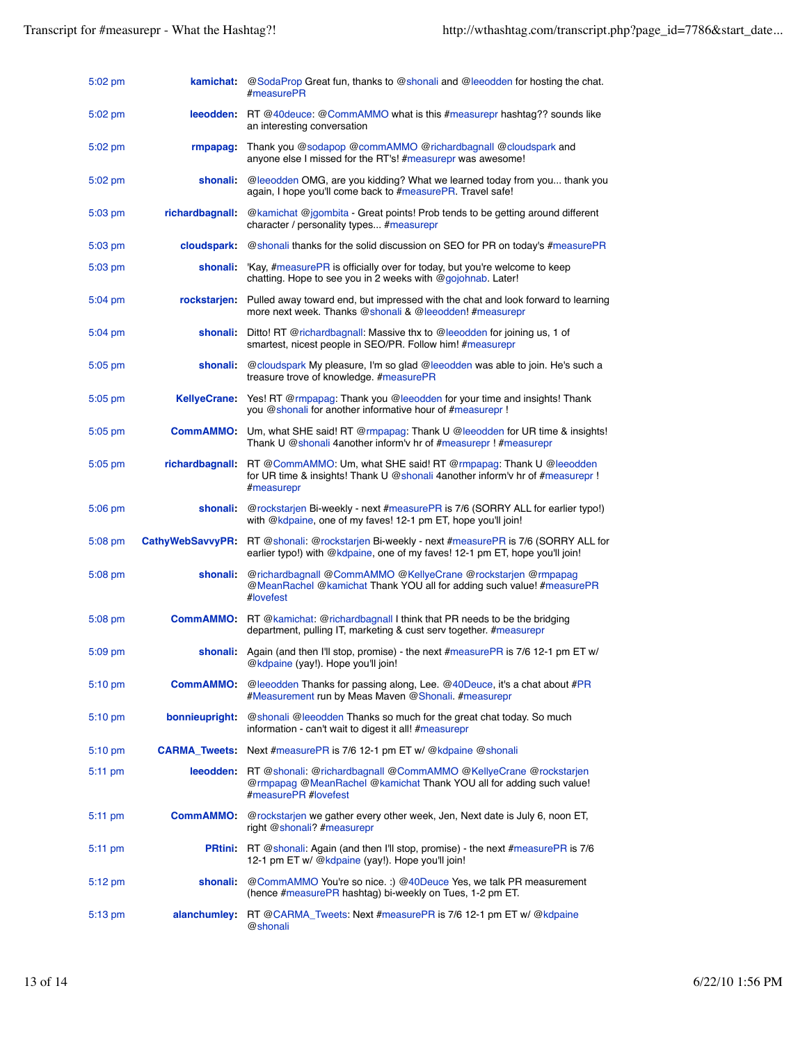| $5:02$ pm         | kamichat                | @SodaProp Great fun, thanks to @shonali and @leeodden for hosting the chat.<br>#measurePR                                                                                      |
|-------------------|-------------------------|--------------------------------------------------------------------------------------------------------------------------------------------------------------------------------|
| $5:02$ pm         |                         | leeodden: RT @40deuce: @CommAMMO what is this #measurepr hashtag?? sounds like<br>an interesting conversation                                                                  |
| $5:02$ pm         | rmpapag:                | Thank you @sodapop @commAMMO @richardbagnall @cloudspark and<br>anyone else I missed for the RT's! #measurepr was awesome!                                                     |
| $5:02$ pm         | shonali:                | @leeodden OMG, are you kidding? What we learned today from you thank you<br>again, I hope you'll come back to #measurePR. Travel safe!                                         |
| $5:03$ pm         | <b>richardbagnall</b>   | @kamichat @jgombita - Great points! Prob tends to be getting around different<br>character / personality types #measurepr                                                      |
| $5:03 \text{ pm}$ | <b>cloudspark</b>       | @shonali thanks for the solid discussion on SEO for PR on today's #measurePR                                                                                                   |
| $5:03 \text{ pm}$ |                         | shonali: 'Kay, #measurePR is officially over for today, but you're welcome to keep<br>chatting. Hope to see you in 2 weeks with @gojohnab. Later!                              |
| $5:04 \text{ pm}$ |                         | rockstarjen: Pulled away toward end, but impressed with the chat and look forward to learning<br>more next week. Thanks @shonali & @leeodden! #measurepr                       |
| $5:04 \text{ pm}$ |                         | shonali: Ditto! RT @richardbagnall: Massive thx to @leeodden for joining us, 1 of<br>smartest, nicest people in SEO/PR. Follow him! #measurepr                                 |
| $5:05$ pm         | shonali:                | @cloudspark My pleasure, I'm so glad @leeodden was able to join. He's such a<br>treasure trove of knowledge. #measurePR                                                        |
| $5:05 \text{ pm}$ | <b>KellyeCrane:</b>     | Yes! RT @rmpapag: Thank you @leeodden for your time and insights! Thank<br>you @shonali for another informative hour of #measurepr !                                           |
| $5:05$ pm         |                         | CommAMMO: Um, what SHE said! RT @rmpapag: Thank U @leeodden for UR time & insights!<br>Thank U @shonali 4another inform'v hr of #measurepr ! #measurepr                        |
| $5:05$ pm         |                         | richardbagnall: RT @CommAMMO: Um, what SHE said! RT @rmpapag: Thank U @leeodden<br>for UR time & insights! Thank U @shonali 4another inform'y hr of #measurepr !<br>#measurepr |
| $5:06$ pm         | shonali:                | @rockstarjen Bi-weekly - next #measurePR is 7/6 (SORRY ALL for earlier typo!)<br>with @kdpaine, one of my faves! 12-1 pm ET, hope you'll join!                                 |
| $5:08$ pm         | <b>CathyWebSavvyPR:</b> | RT @shonali: @rockstarjen Bi-weekly - next #measurePR is 7/6 (SORRY ALL for<br>earlier typo!) with @kdpaine, one of my faves! 12-1 pm ET, hope you'll join!                    |
| $5:08$ pm         | shonali:                | @richardbagnall @CommAMMO @KellyeCrane @rockstarjen @rmpapag<br>@MeanRachel @kamichat Thank YOU all for adding such value! #measurePR<br>#lovefest                             |
| $5:08$ pm         |                         | <b>CommAMMO:</b> RT @kamichat: @richardbagnall I think that PR needs to be the bridging<br>department, pulling IT, marketing & cust serv together. #measurepr                  |
| $5:09$ pm         |                         | shonali: Again (and then I'll stop, promise) - the next #measurePR is 7/6 12-1 pm ET w/<br>@kdpaine (yay!). Hope you'll join!                                                  |
| $5:10 \text{ pm}$ | <b>CommAMMO:</b>        | @leeodden Thanks for passing along, Lee. @40Deuce, it's a chat about #PR<br>#Measurement run by Meas Maven @Shonali. #measurepr                                                |
| $5:10 \text{ pm}$ | bonnieupright:          | @shonali @leeodden Thanks so much for the great chat today. So much<br>information - can't wait to digest it all! #measurepr                                                   |
| $5:10 \text{ pm}$ |                         | CARMA_Tweets: Next #measurePR is 7/6 12-1 pm ET w/ @kdpaine @shonali                                                                                                           |
| $5:11$ pm         |                         | leeodden: RT @shonali: @richardbagnall @CommAMMO @KellyeCrane @rockstarien<br>@rmpapag @MeanRachel @kamichat Thank YOU all for adding such value!<br>#measurePR #lovefest      |
| $5:11$ pm         | <b>CommAMMO</b>         | @rockstarjen we gather every other week, Jen, Next date is July 6, noon ET,<br>right @shonali? #measurepr                                                                      |
| $5:11 \text{ pm}$ |                         | <b>PRtini:</b> RT @shonali: Again (and then I'll stop, promise) - the next #measurePR is 7/6<br>12-1 pm ET w/ @kdpaine (yay!). Hope you'll join!                               |
| $5:12 \text{ pm}$ | shonali:                | @CommAMMO You're so nice.: ) @40Deuce Yes, we talk PR measurement<br>(hence #measurePR hashtag) bi-weekly on Tues, 1-2 pm ET.                                                  |
| $5:13$ pm         | alanchumley:            | RT @CARMA_Tweets: Next #measurePR is 7/6 12-1 pm ET w/ @kdpaine<br>@shonali                                                                                                    |